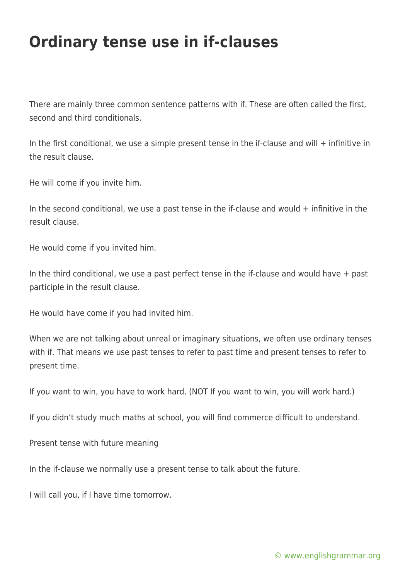## **Ordinary tense use in if-clauses**

There are mainly three common sentence patterns with if. These are often called the first, second and third conditionals.

In the first conditional, we use a simple present tense in the if-clause and will  $+$  infinitive in the result clause.

He will come if you invite him.

In the second conditional, we use a past tense in the if-clause and would  $+$  infinitive in the result clause.

He would come if you invited him.

In the third conditional, we use a past perfect tense in the if-clause and would have  $+$  past participle in the result clause.

He would have come if you had invited him.

When we are not talking about unreal or imaginary situations, we often use ordinary tenses with if. That means we use past tenses to refer to past time and present tenses to refer to present time.

If you want to win, you have to work hard. (NOT If you want to win, you will work hard.)

If you didn't study much maths at school, you will find commerce difficult to understand.

Present tense with future meaning

In the if-clause we normally use a present tense to talk about the future.

I will call you, if I have time tomorrow.